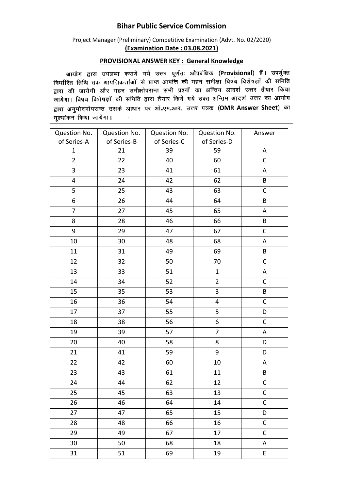## **Bihar Public Service Commission**

## Project Manager (Preliminary) Competitive Examination (Advt. No. 02/2020) **(Examination Date : 03.08.2021)**

## **PROVISIONAL ANSWER KEY : General Knowledge**

आयोग द्वारा उपलब्ध कराये गये उत्तर पूर्णतः औपबंधिक (Provisional) हैं। उपर्युक्त निर्धारित तिथि तक आपत्तिकर्त्ताओं से प्राप्त आपत्ति की गहन समीक्षा विषय विशेषज्ञों की समिति समारत तांचे तेक जानाराकरांची ते आते आसी मेरे दिन में माम स्वर्ग कालेले होते. सारा पर जांचना जार नहीं। रामसाररा से सारा पर माना के सारा करना करना करना करना है।<br>जायेगा। विषय विशेषज्ञों की समिति द्वारा तैयार किये गये उक्त अन्तिम आदर्श उत्तर का आयोग द्वारा अनुमोदनोपरान्त उसके आधार पर ओ.एम.आर. उत्तर पत्रक (OMR Answer Sheet) का मुल्यांकन किया जायेगा।

| Question No.   | Question No. | Question No. | Question No.            | Answer       |
|----------------|--------------|--------------|-------------------------|--------------|
| of Series-A    | of Series-B  | of Series-C  | of Series-D             |              |
| $\mathbf{1}$   | 21           | 39           | 59                      | A            |
| $\overline{2}$ | 22           | 40           | 60                      | $\mathsf C$  |
| 3              | 23           | 41           | 61                      | A            |
| 4              | 24           | 42           | 62                      | B            |
| 5              | 25           | 43           | 63                      | $\mathsf C$  |
| 6              | 26           | 44           | 64                      | B            |
| $\overline{7}$ | 27           | 45           | 65                      | A            |
| 8              | 28           | 46           | 66                      | B            |
| 9              | 29           | 47           | 67                      | $\mathsf C$  |
| 10             | 30           | 48           | 68                      | A            |
| 11             | 31           | 49           | 69                      | B            |
| 12             | 32           | 50           | 70                      | $\mathsf{C}$ |
| 13             | 33           | 51           | $\mathbf{1}$            | Α            |
| 14             | 34           | 52           | $\overline{2}$          | $\mathsf C$  |
| 15             | 35           | 53           | 3                       | B            |
| 16             | 36           | 54           | $\overline{\mathbf{4}}$ | $\mathsf{C}$ |
| 17             | 37           | 55           | 5                       | D            |
| 18             | 38           | 56           | 6                       | $\mathsf C$  |
| 19             | 39           | 57           | 7                       | A            |
| 20             | 40           | 58           | 8                       | D            |
| 21             | 41           | 59           | 9                       | D            |
| 22             | 42           | 60           | 10                      | Α            |
| 23             | 43           | 61           | 11                      | B            |
| 24             | 44           | 62           | 12                      | $\mathsf C$  |
| 25             | 45           | 63           | 13                      | C            |
| 26             | 46           | 64           | 14                      | $\mathsf C$  |
| 27             | 47           | 65           | 15                      | D            |
| 28             | 48           | 66           | 16                      | $\mathsf C$  |
| 29             | 49           | 67           | 17                      | $\mathsf C$  |
| 30             | 50           | 68           | 18                      | A            |
| 31             | 51           | 69           | 19                      | E            |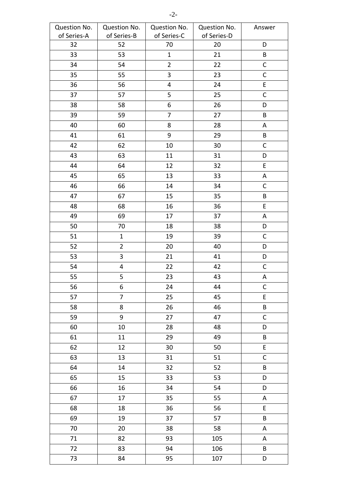| Question No. | Question No.            | Question No.   | Question No. | Answer      |
|--------------|-------------------------|----------------|--------------|-------------|
| of Series-A  | of Series-B             | of Series-C    | of Series-D  |             |
| 32           | 52                      | 70             | 20           | D           |
| 33           | 53                      | $\mathbf{1}$   | 21           | B           |
| 34           | 54                      | $\overline{2}$ | 22           | $\mathsf C$ |
| 35           | 55                      | $\overline{3}$ | 23           | $\mathsf C$ |
| 36           | 56                      | 4              | 24           | E           |
| 37           | 57                      | 5              | 25           | $\mathsf C$ |
| 38           | 58                      | 6              | 26           | D           |
| 39           | 59                      | $\overline{7}$ | 27           | B           |
| 40           | 60                      | 8              | 28           | Α           |
| 41           | 61                      | $9\,$          | 29           | B           |
| 42           | 62                      | 10             | 30           | $\mathsf C$ |
| 43           | 63                      | 11             | 31           | D           |
| 44           | 64                      | 12             | 32           | $\mathsf E$ |
| 45           | 65                      | 13             | 33           | A           |
| 46           | 66                      | 14             | 34           | $\mathsf C$ |
| 47           | 67                      | 15             | 35           | $\sf{B}$    |
| 48           | 68                      | 16             | 36           | $\mathsf E$ |
| 49           | 69                      | 17             | 37           | Α           |
| 50           | 70                      | 18             | 38           | D           |
| 51           | $\mathbf{1}$            | 19             | 39           | $\mathsf C$ |
| 52           | $\overline{2}$          | 20             | 40           | D           |
| 53           | $\overline{3}$          | 21             | 41           | D           |
| 54           | $\overline{\mathbf{4}}$ | 22             | 42           | $\mathsf C$ |
| 55           | 5                       | 23             | 43           | A           |
| 56           | 6                       | 24             | 44           | $\mathsf C$ |
| 57           | $\overline{7}$          | 25             | 45           | $\mathsf E$ |
| 58           | 8                       | 26             | 46           | $\sf{B}$    |
| 59           | 9                       | 27             | 47           | $\mathsf C$ |
| 60           | 10                      | 28             | 48           | D           |
| 61           | $11\,$                  | 29             | 49           | $\sf{B}$    |
| 62           | 12                      | 30             | 50           | $\mathsf E$ |
| 63           | 13                      | 31             | 51           | $\mathsf C$ |
| 64           | 14                      | 32             | 52           | B           |
| 65           | 15                      | 33             | 53           | D           |
| 66           | 16                      | 34             | 54           | D           |
| 67           | 17                      | 35             | 55           | A           |
| 68           | 18                      | 36             | 56           | $\mathsf E$ |
| 69           | 19                      | 37             | 57           | $\sf{B}$    |
| 70           | 20                      | 38             | 58           | Α           |
| 71           | 82                      | 93             | 105          | A           |
| 72           | 83                      | 94             | 106          | B           |
| 73           | 84                      | 95             | 107          | D           |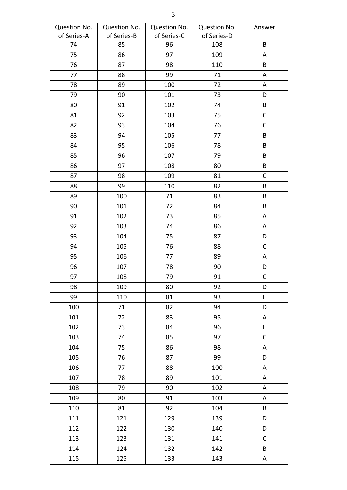| Question No. | Question No. | Question No. | Question No. | Answer       |
|--------------|--------------|--------------|--------------|--------------|
| of Series-A  | of Series-B  | of Series-C  | of Series-D  |              |
| 74           | 85           | 96           | 108          | B            |
| 75           | 86           | 97           | 109          | Α            |
| 76           | 87           | 98           | 110          | B            |
| 77           | 88           | 99           | 71           | A            |
| 78           | 89           | 100          | 72           | A            |
| 79           | 90           | 101          | 73           | D            |
| 80           | 91           | 102          | 74           | B            |
| 81           | 92           | 103          | 75           | $\mathsf C$  |
| 82           | 93           | 104          | 76           | $\mathsf C$  |
| 83           | 94           | 105          | 77           | B            |
| 84           | 95           | 106          | 78           | $\sf{B}$     |
| 85           | 96           | 107          | 79           | $\sf B$      |
| 86           | 97           | 108          | 80           | B            |
| 87           | 98           | 109          | 81           | $\mathsf C$  |
| 88           | 99           | 110          | 82           | B            |
| 89           | 100          | 71           | 83           | B            |
| 90           | 101          | 72           | 84           | $\sf B$      |
| 91           | 102          | 73           | 85           | Α            |
| 92           | 103          | 74           | 86           | A            |
| 93           | 104          | 75           | 87           | D            |
| 94           | 105          | 76           | 88           | $\mathsf C$  |
| 95           | 106          | 77           | 89           | Α            |
| 96           | 107          | 78           | 90           | D            |
| 97           | 108          | 79           | 91           | $\mathsf C$  |
| 98           | 109          | 80           | 92           | D            |
| 99           | 110          | 81           | 93           | E            |
| 100          | 71           | 82           | 94           | D            |
| 101          | 72           | 83           | 95           | A            |
| 102          | 73           | 84           | 96           | E            |
| 103          | 74           | 85           | 97           | $\mathsf{C}$ |
| 104          | 75           | 86           | 98           | A            |
| 105          | 76           | 87           | 99           | D            |
| 106          | 77           | 88           | 100          | A            |
| 107          | 78           | 89           | 101          | A            |
| 108          | 79           | 90           | 102          | A            |
| 109          | 80           | 91           | 103          | A            |
| 110          | 81           | 92           | 104          | B            |
| 111          | 121          | 129          | 139          | D            |
| 112          | 122          | 130          | 140          | D            |
| 113          | 123          | 131          | 141          | $\mathsf{C}$ |
| 114          | 124          | 132          | 142          | B            |
| 115          | 125          | 133          | 143          | A            |